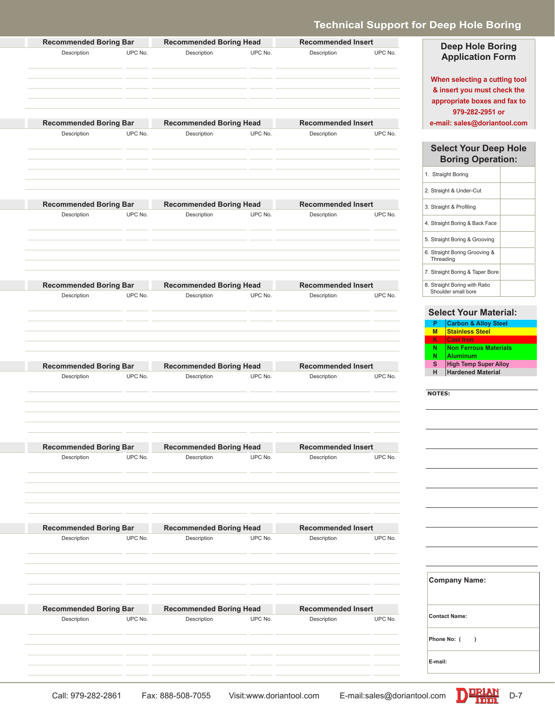# **Technical Support for Deep Hole Boring**

| <b>Recommended Boring Head</b><br><b>Recommended Insert</b>                                                                | <b>Recommended Boring Bar</b>                |
|----------------------------------------------------------------------------------------------------------------------------|----------------------------------------------|
| UPC No.<br>UPC No.<br>UPC No.<br>Description<br>Description                                                                | Description                                  |
|                                                                                                                            |                                              |
|                                                                                                                            |                                              |
|                                                                                                                            |                                              |
|                                                                                                                            |                                              |
| <b>Recommended Boring Head</b><br><b>Recommended Insert</b>                                                                | <b>Recommended Boring Bar</b>                |
| UPC No.<br>UPC No.<br>UPC No.<br>Description<br>Description                                                                | Description                                  |
|                                                                                                                            |                                              |
|                                                                                                                            |                                              |
|                                                                                                                            |                                              |
|                                                                                                                            |                                              |
| <b>Recommended Boring Head</b><br><b>Recommended Insert</b>                                                                | <b>Recommended Boring Bar</b>                |
| UPC No.<br>UPC No.<br>UPC No.<br>Description<br>Description                                                                | Description                                  |
|                                                                                                                            |                                              |
|                                                                                                                            |                                              |
|                                                                                                                            |                                              |
|                                                                                                                            |                                              |
| <b>Recommended Insert</b>                                                                                                  |                                              |
| <b>Recommended Boring Head</b><br>UPC No.<br>Description<br>UPC No.<br>Description<br>UPC No.                              | <b>Recommended Boring Bar</b><br>Description |
|                                                                                                                            |                                              |
|                                                                                                                            |                                              |
|                                                                                                                            |                                              |
|                                                                                                                            |                                              |
|                                                                                                                            |                                              |
| <b>Recommended Boring Head</b><br><b>Recommended Insert</b>                                                                | <b>Recommended Boring Bar</b>                |
| UPC No.<br>UPC No.<br>UPC No.<br>Description<br>Description                                                                | Description                                  |
|                                                                                                                            |                                              |
|                                                                                                                            |                                              |
|                                                                                                                            |                                              |
| <b>Recommended Boring Head</b><br><b>Recommended Insert</b>                                                                | <b>Recommended Boring Bar</b>                |
| UPC No.<br>Description<br>UPC No.<br>Description<br>UPC No.                                                                | Description                                  |
|                                                                                                                            |                                              |
|                                                                                                                            |                                              |
|                                                                                                                            |                                              |
|                                                                                                                            |                                              |
| <b>Recommended Boring Head</b><br><b>Recommended Insert</b><br>UPC No.<br>UPC No.<br>Description<br>UPC No.<br>Description | <b>Recommended Boring Bar</b><br>Description |
|                                                                                                                            |                                              |
|                                                                                                                            |                                              |
|                                                                                                                            |                                              |
|                                                                                                                            |                                              |
|                                                                                                                            |                                              |
| <b>Recommended Boring Head</b><br><b>Recommended Insert</b>                                                                | <b>Recommended Boring Bar</b>                |
| UPC No.<br>Description<br>UPC No.<br>Description<br>UPC No.                                                                | Description                                  |
|                                                                                                                            |                                              |
|                                                                                                                            |                                              |
|                                                                                                                            |                                              |

**Deep Hole Boring Application Form When selecting a cutting tool** 

**& insert you must check the appropriate boxes and fax to 979-282-2951 or e-mail: sales@doriantool.com**

#### **Select Your Deep Hole Boring Operation:**

| 1. Straight Boring                                   |  |
|------------------------------------------------------|--|
| 2. Straight & Under-Cut                              |  |
| 3. Straight & Profiling                              |  |
| 4. Straight Boring & Back Face                       |  |
| 5. Straight Boring & Grooving                        |  |
| 6. Straight Boring Grooving &<br>Threading           |  |
| 7. Straight Boring & Taper Bore                      |  |
| 8. Straight Boring with Ratio<br>Shoulder small bore |  |

### **Select Your Material:**

| P | <b>Carbon &amp; Alloy Steel</b> |
|---|---------------------------------|
| M | <b>Stainless Steel</b>          |
| κ | <b>Cast Iron</b>                |
| N | <b>Non Ferrous Materials</b>    |
| N | <b>Aluminum</b>                 |
| S | <b>High Temp Super Alloy</b>    |
| н | <b>Hardened Material</b>        |

| $\sim$ |  |
|--------|--|
|        |  |

| <b>Company Name:</b> |
|----------------------|
| <b>Contact Name:</b> |
| Phone No: (<br>١     |
| E-mail:              |

Call: 979-282-2861 Fax: 888-508-7055 Visit:www.doriantool.com E-mail:sales@doriantool.com D-RIAN D-7